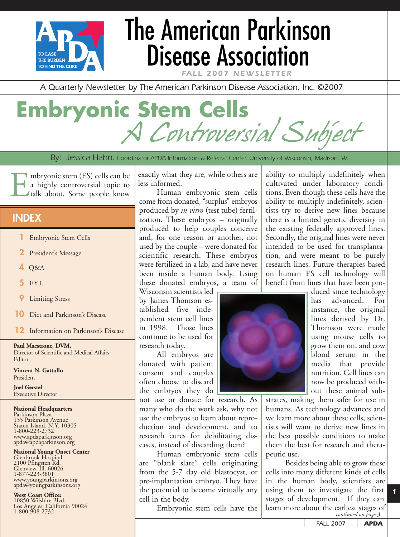

# The American Parkinson Disease Association

**FALL 2007 NEWSLET** 

*A Quarterly Newsletter by The American Parkinson Disease Association, Inc. ©2007*

## **Embryonic Stem Cells** Controversial Subject

*By: Jessica Hahn, Coordinator APDA Information & Referral Center, University of Wisconsin, Madison, WI*

Embryonic stem (ES) cells can be<br>a highly controversial topic to<br>talk about. Some people know a highly controversial topic to talk about. Some people know

### **INDEX**

- **1** Embryonic Stem Cells
- **2** President's Message
- **4** Q&A
- **5** F.Y.I.
- **9** Limiting Stress
- **10** Diet and Parkinson's Disease
- **12** Information on Parkinson's Disease

**Paul Maestrone, DVM,** Director of Scientific and Medical Affairs, Editor

**Vincent N. Gattullo** President

**Joel Gerstel** Executive Director

#### **National Headquarters**

Parkinson Plaza<br>135 Parkinson Avenue 135 Parkinson Avenue<br>Staten Island, N.Y. 10305 1-800-223-2732 www.apdaparkinson.org apda@apdaparkinson.org

## **National Young Onset Center**

Glenbrook Hospital 2100 Pfingsten Rd. Glenview, Ill. 60026 1-877-223-3801 www.youngparkinsons.org apda@youngparkinsons.org

**West Coast Office:** 10850 Wilshire Blvd. Los Angeles, California 90024 1-800-908-2732

exactly what they are, while others are less informed.

Human embryonic stem cells come from donated, "surplus" embryos produced by *in vitro* (test tube) fertilization. These embryos – originally produced to help couples conceive and, for one reason or another, not used by the couple – were donated for scientific research. These embryos were fertilized in a lab, and have never been inside a human body. Using these donated embryos, a team of

Wisconsin scientists led by James Thomson established five independent stem cell lines in 1998. Those lines continue to be used for research today.

All embryos are donated with patient consent and couples often choose to discard the embryos they do

not use or donate for research. As many who do the work ask, why not use the embryos to learn about reproduction and development, and to research cures for debilitating diseases, instead of discarding them?

Human embryonic stem cells are "blank slate" cells originating from the 5-7 day old blastocyst, or pre-implantation embryo. They have the potential to become virtually any cell in the body.

Embryonic stem cells have the

ability to multiply indefinitely when cultivated under laboratory conditions. Even though these cells have the ability to multiply indefinitely, scientists try to derive new lines because there is a limited genetic diversity in the existing federally approved lines. Secondly, the original lines were never intended to be used for transplantation, and were meant to be purely research lines. Future therapies based on human ES cell technology will benefit from lines that have been pro-



duced since technology has advanced. For instance, the original lines derived by Dr. Thomson were made using mouse cells to grow them on, and cow blood serum in the media that provide nutrition. Cell lines can now be produced without these animal sub-

strates, making them safer for use in humans. As technology advances and we learn more about these cells, scientists will want to derive new lines in the best possible conditions to make them the best for research and therapeutic use.

Besides being able to grow these cells into many different kinds of cells in the human body, scientists are using them to investigate the first stages of development. If they can learn more about the earliest stages of *continued on page 3*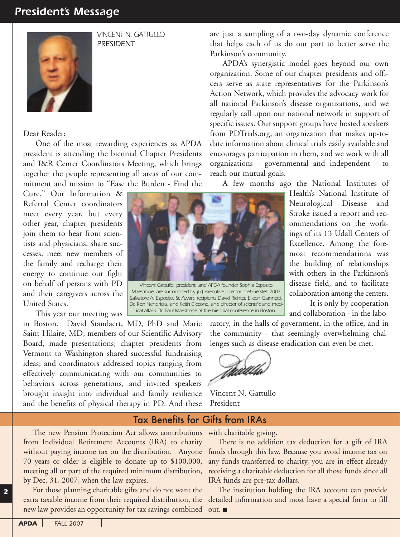## *President's Message*



*VINCENT N. GATTULLO PRESIDENT*

#### Dear Reader:

One of the most rewarding experiences as APDA president is attending the biennial Chapter Presidents and I&R Center Coordinators Meeting, which brings together the people representing all areas of our commitment and mission to "Ease the Burden - Find the

Cure." Our Information & Referral Center coordinators meet every year, but every other year, chapter presidents join them to hear from scientists and physicians, share successes, meet new members of the family and recharge their energy to continue our fight on behalf of persons with PD and their caregivers across the United States.

This year our meeting was

in Boston. David Standaert, MD, PhD and Marie Saint-Hilaire, MD, members of our Scientific Advisory Board, made presentations; chapter presidents from Vermont to Washington shared successful fundraising ideas; and coordinators addressed topics ranging from effectively communicating with our communities to behaviors across generations, and invited speakers brought insight into individual and family resilience and the benefits of physical therapy in PD. And these

are just a sampling of a two-day dynamic conference that helps each of us do our part to better serve the Parkinson's community.

APDA's synergistic model goes beyond our own organization. Some of our chapter presidents and officers serve as state representatives for the Parkinson's Action Network, which provides the advocacy work for all national Parkinson's disease organizations, and we regularly call upon our national network in support of specific issues. Our support groups have hosted speakers from PDTrials.org, an organization that makes up-todate information about clinical trials easily available and encourages participation in them, and we work with all organizations - governmental and independent - to reach our mutual goals.

A few months ago the National Institutes of

*Vincent Gattullo, president, and APDA founder Sophia Esposito Maestrone, are surrounded by (l-r) executive director Joel Gerstel; 2007 Salvatore A. Esposito, Sr. Award recipients David Richter, Eileen Giannetti, Dr. Ron Hendricks, and Keith Ciccone; and director of scientific and medical affairs Dr. Paul Maestrone at the biennial conference in Boston.*

Neurological Disease and Stroke issued a report and recommendations on the workings of its 13 Udall Centers of Excellence. Among the foremost recommendations was the building of relationships with others in the Parkinson's disease field, and to facilitate collaboration among the centers.

Health's National Institute of

It is only by cooperation and collaboration - in the labo-

ratory, in the halls of government, in the office, and in the community - that seemingly overwhelming challenges such as disease eradication can even be met.



Vincent N. Gattullo President

### Tax Benefits for Gifts from IRAs

The new Pension Protection Act allows contributions with charitable giving. from Individual Retirement Accounts (IRA) to charity without paying income tax on the distribution. Anyone 70 years or older is eligible to donate up to \$100,000, meeting all or part of the required minimum distribution, by Dec. 31, 2007, when the law expires.

For those planning charitable gifts and do not want the new law provides an opportunity for tax savings combined out.

There is no addition tax deduction for a gift of IRA funds through this law. Because you avoid income tax on any funds transferred to charity, you are in effect already receiving a charitable deduction for all those funds since all IRA funds are pre-tax dollars.

extra taxable income from their required distribution, the detailed information and most have a special form to fill The institution holding the IRA account can provide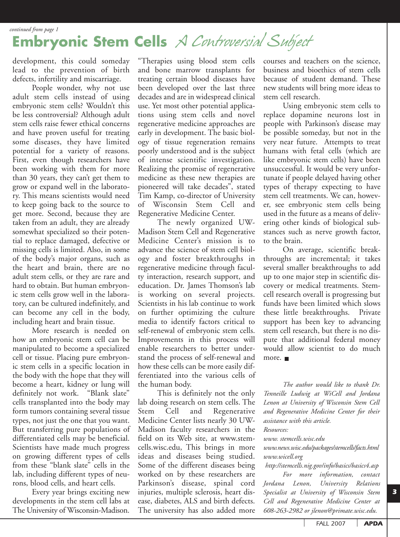*continued from page 1*

## **Embryonic Stem Cells** A Controversial Subject

development, this could someday lead to the prevention of birth defects, infertility and miscarriage.

People wonder, why not use adult stem cells instead of using embryonic stem cells? Wouldn't this be less controversial? Although adult stem cells raise fewer ethical concerns and have proven useful for treating some diseases, they have limited potential for a variety of reasons. First, even though researchers have been working with them for more than 30 years, they can't get them to grow or expand well in the laboratory. This means scientists would need to keep going back to the source to get more. Second, because they are taken from an adult, they are already somewhat specialized so their potential to replace damaged, defective or missing cells is limited. Also, in some of the body's major organs, such as the heart and brain, there are no adult stem cells, or they are rare and hard to obtain. But human embryonic stem cells grow well in the laboratory, can be cultured indefinitely, and can become any cell in the body, including heart and brain tissue.

More research is needed on how an embryonic stem cell can be manipulated to become a specialized cell or tissue. Placing pure embryonic stem cells in a specific location in the body with the hope that they will become a heart, kidney or lung will definitely not work. "Blank slate" cells transplanted into the body may form tumors containing several tissue types, not just the one that you want. But transferring pure populations of differentiated cells may be beneficial. Scientists have made much progress on growing different types of cells from these "blank slate" cells in the lab, including different types of neurons, blood cells, and heart cells.

Every year brings exciting new developments in the stem cell labs at The University of Wisconsin-Madison.

"Therapies using blood stem cells and bone marrow transplants for treating certain blood diseases have been developed over the last three decades and are in widespread clinical use. Yet most other potential applications using stem cells and novel regenerative medicine approaches are early in development. The basic biology of tissue regeneration remains poorly understood and is the subject of intense scientific investigation. Realizing the promise of regenerative medicine as these new therapies are pioneered will take decades", stated Tim Kamp, co-director of University of Wisconsin Stem Cell and Regenerative Medicine Center.

The newly organized UW-Madison Stem Cell and Regenerative Medicine Center's mission is to advance the science of stem cell biology and foster breakthroughs in regenerative medicine through faculty interaction, research support, and education. Dr. James Thomson's lab is working on several projects. Scientists in his lab continue to work on further optimizing the culture media to identify factors critical to self-renewal of embryonic stem cells. Improvements in this process will enable researchers to better understand the process of self-renewal and how these cells can be more easily differentiated into the various cells of the human body.

This is definitely not the only lab doing research on stem cells. The Stem Cell and Regenerative Medicine Center lists nearly 30 UW-Madison faculty researchers in the field on its Web site, at www.stemcells.wisc.edu, This brings in more ideas and diseases being studied. Some of the different diseases being worked on by these researchers are Parkinson's disease, spinal cord injuries, multiple sclerosis, heart disease, diabetes, ALS and birth defects. The university has also added more

courses and teachers on the science, business and bioethics of stem cells because of student demand. These new students will bring more ideas to stem cell research.

Using embryonic stem cells to replace dopamine neurons lost in people with Parkinson's disease may be possible someday, but not in the very near future. Attempts to treat humans with fetal cells (which are like embryonic stem cells) have been unsuccessful. It would be very unfortunate if people delayed having other types of therapy expecting to have stem cell treatments. We can, however, see embryonic stem cells being used in the future as a means of delivering other kinds of biological substances such as nerve growth factor, to the brain.

On average, scientific breakthroughs are incremental; it takes several smaller breakthroughs to add up to one major step in scientific discovery or medical treatments. Stemcell research overall is progressing but funds have been limited which slows these little breakthroughs. Private support has been key to advancing stem cell research, but there is no dispute that additional federal money would allow scientist to do much more.

*The author would like to thank Dr. Tenneille Ludwig at WiCell and Jordana Lenon at University of Wisconsin Stem Cell and Regenerative Medicine Center for their assistance with this article.*

*Resources:*

*www. stemcells.wisc.edu*

*www.news.wisc.edu/packages/stemcells/facts.html www.wicell.org*

*http://stemcells.nig.gov/info/basics/basics4.asp*

*For more information, contact Jordana Lenon, University Relations Specialist at University of Wisconsin Stem Cell and Regenerative Medicine Center at 608-263-2982 or jlenon@primate.wisc.edu.*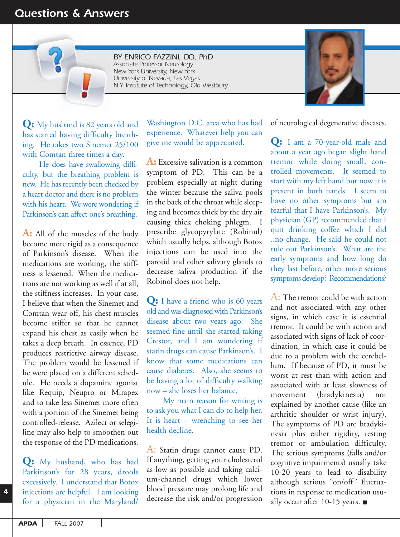## *Questions & Answers*

*BY ENRICO FAZZINI, DO, PhD Associate Professor Neurology New York University, New York University of Nevada, Las Vegas N.Y. Institute of Technology, Old Westbury*



**Q:** My husband is 82 years old and has started having difficulty breathing. He takes two Sinemet 25/100 with Comtan three times a day.

He does have swallowing difficulty, but the breathing problem is new. He has recently been checked by a heart doctor and there is no problem with his heart. We were wondering if Parkinson's can affect one's breathing.

**A:** All of the muscles of the body become more rigid as a consequence of Parkinson's disease. When the medications are working, the stiffness is lessened. When the medications are not working as well if at all, the stiffness increases. In your case, I believe that when the Sinemet and Comtan wear off, his chest muscles become stiffer so that he cannot expand his chest as easily when he takes a deep breath. In essence, PD produces restrictive airway disease. The problem would be lessened if he were placed on a different schedule. He needs a dopamine agonist like Requip, Neupro or Mirapex and to take less Sinemet more often with a portion of the Sinemet being controlled-release. Azilect or selegiline may also help to smoothen out the response of the PD medications.

**Q:** My husband, who has had Parkinson's for 28 years, drools excessively. I understand that Botox injections are helpful. I am looking for a physician in the Maryland/

Washington D.C. area who has had experience. Whatever help you can give me would be appreciated.

**A:** Excessive salivation is a common symptom of PD. This can be a problem especially at night during the winter because the saliva pools in the back of the throat while sleeping and becomes thick by the dry air causing thick choking phlegm. I prescribe glycopyrylate (Robinul) which usually helps, although Botox injections can be used into the parotid and other salivary glands to decrease saliva production if the Robinol does not help.

**Q:** I have a friend who is 60 years old and was diagnosed with Parkinson's disease about two years ago. She seemed fine until she started taking Crestor, and I am wondering if statin drugs can cause Parkinson's. I know that some medications can cause diabetes. Also, she seems to be having a lot of difficulty walking now – she loses her balance.

My main reason for writing is to ask you what I can do to help her. It is heart – wrenching to see her health decline.

A: Statin drugs cannot cause PD. If anything, getting your cholesterol as low as possible and taking calcium-channel drugs which lower blood pressure may prolong life and decrease the risk and/or progression

of neurological degenerative diseases.

**Q:** I am a 70-year-old male and about a year ago began slight hand tremor while doing small, controlled movements. It seemed to start with my left hand but now it is present in both hands. I seem to have no other symptoms but am fearful that I have Parkinson's. My physician (GP) recommended that I quit drinking coffee which I did ..no change. He said he could not rule out Parkinson's. What are the early symptoms and how long do they last before, other more serious symptoms develop? Recommendations?

 $\mathbf{A}$ : The tremor could be with action and not associated with any other signs, in which case it is essential tremor. It could be with action and associated with signs of lack of coordination, in which case it could be due to a problem with the cerebellum. If because of PD, it must be worst at rest than with action and associated with at least slowness of movement (bradykinesia) not explained by another cause (like an arthritic shoulder or wrist injury). The symptoms of PD are bradykinesia plus either rigidity, resting tremor or ambulation difficulty. The serious symptoms (falls and/or cognitive impairments) usually take 10-20 years to lead to disability although serious "on/off" fluctuations in response to medication usually occur after 10-15 years.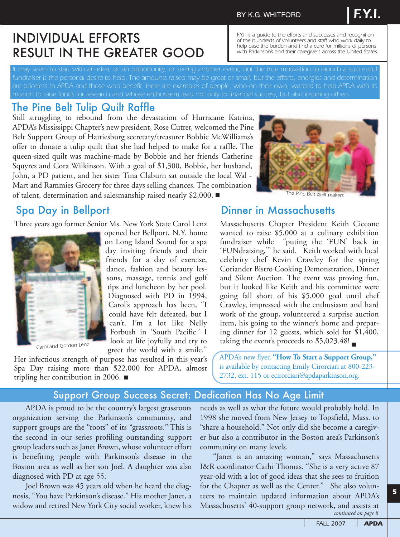#### BY K.G. WHITFORD

## INDIVIDUAL EFFORTS RESULT IN THE GREATER GOOD

*It may seem to start with an idea, or an opportunity, or seeing another event, but the true motivation to launch a successful fundraiser is the personal desire to help. The amounts raised may be great or small, but the efforts, energies and determination are priceless to APDA and those who benefit. Here are examples of people, who on their own, wanted to help APDA with its*

## The Pine Belt Tulip Quilt Raffle

Still struggling to rebound from the devastation of Hurricane Katrina, APDA's Mississippi Chapter's new president, Rose Cutrer, welcomed the Pine Belt Support Group of Hattiesburg secretary/treasurer Bobbie McWilliams's offer to donate a tulip quilt that she had helped to make for a raffle. The queen-sized quilt was machine-made by Bobbie and her friends Catherine Squyres and Cora Wilkinson. With a goal of \$1,300, Bobbie, her husband, John, a PD patient, and her sister Tina Claburn sat outside the local Wal - Mart and Rammies Grocery for three days selling chances. The combination of talent, determination and salesmanship raised nearly \$2,000.



*F.Y.I. is a guide to the efforts and successes and recognition of the hundreds of volunteers and staff who work daily to help ease the burden and find a cure for millions of persons with Parkinson's and their caregivers across the United States.*

*F.Y.I.*

*The Pine Belt quilt makers*

Three years ago former Senior Ms. New York State Carol Lenz



*Carol and Gordon Lenz*

opened her Bellport, N.Y. home on Long Island Sound for a spa day inviting friends and their friends for a day of exercise, dance, fashion and beauty lessons, massage, tennis and golf tips and luncheon by her pool. Diagnosed with PD in 1994, Carol's approach has been, "I could have felt defeated, but I can't. I'm a lot like Nelly Forbush in 'South Pacific.' I look at life joyfully and try to greet the world with a smile."

Her infectious strength of purpose has resulted in this year's Spa Day raising more than \$22,000 for APDA, almost tripling her contribution in 2006.

## Spa Day in Bellport **Dinner in Massachusetts**

Massachusetts Chapter President Keith Ciccone wanted to raise \$5,000 at a culinary exhibition fundraiser while "puting the 'FUN' back in 'FUNdraising,'" he said. Keith worked with local celebrity chef Kevin Crawley for the spring Coriander Bistro Cooking Demonstration, Dinner and Silent Auction. The event was proving fun, but it looked like Keith and his committee were going fall short of his \$5,000 goal until chef Crawley, impressed with the enthusiasm and hard work of the group, volunteered a surprise auction item, his going to the winner's home and preparing dinner for 12 guests, which sold for \$1,400, taking the event's proceeds to  $$5,023.48!$ 

APDA's new flyer, **"How To Start a Support Group,"** is available by contacting Emily Cirorciari at 800-223- 2732, ext. 115 or ecirorciari@apdaparkinson.org.

#### Support Group Success Secret: Dedication Has No Age Limit

APDA is proud to be the country's largest grassroots organization serving the Parkinson's community, and support groups are the "roots" of its "grassroots." This is the second in our series profiling outstanding support group leaders such as Janet Brown, whose volunteer effort is benefiting people with Parkinson's disease in the Boston area as well as her son Joel. A daughter was also diagnosed with PD at age 55.

Joel Brown was 45 years old when he heard the diagnosis, "You have Parkinson's disease." His mother Janet, a widow and retired New York City social worker, knew his needs as well as what the future would probably hold. In 1998 she moved from New Jersey to Topsfield, Mass. to "share a household." Not only did she become a caregiver but also a contributor in the Boston area's Parkinson's community on many levels.

"Janet is an amazing woman," says Massachusetts I&R coordinator Cathi Thomas. "She is a very active 87 year-old with a lot of good ideas that she sees to fruition for the Chapter as well as the Center." She also volunteers to maintain updated information about APDA's Massachusetts' 40-support group network, and assists at *continued on page 8*

*5*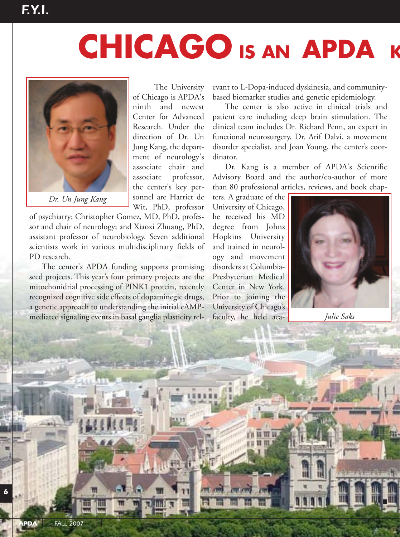# **CHICAGO** IS AN APDA K



*Dr. Un Jung Kang*

The University of Chicago is APDA's ninth and newest Center for Advanced Research. Under the direction of Dr. Un Jung Kang, the department of neurology's associate chair and associate professor, the center's key personnel are Harriet de Wit, PhD, professor

of psychiatry; Christopher Gomez, MD, PhD, professor and chair of neurology; and Xiaoxi Zhuang, PhD, assistant professor of neurobiology. Seven additional scientists work in various multidisciplinary fields of PD research.

The center's APDA funding supports promising seed projects. This year's four primary projects are the mitochonidrial processing of PINK1 protein, recently recognized cognitive side effects of dopaminegic drugs, a genetic approach to understanding the initial cAMPmediated signaling events in basal ganglia plasticity rel-

evant to L-Dopa-induced dyskinesia, and communitybased biomarker studies and genetic epidemiology.

The center is also active in clinical trials and patient care including deep brain stimulation. The clinical team includes Dr. Richard Penn, an expert in functional neurosurgery, Dr. Arif Dalvi, a movement disorder specialist, and Joan Young, the center's coordinator.

Dr. Kang is a member of APDA's Scientific Advisory Board and the author/co-author of more than 80 professional articles, reviews, and book chap-

ters. A graduate of the University of Chicago, he received his MD degree from Johns Hopkins University and trained in neurology and movement disorders at Columbia-Presbyterian Medical Center in New York. Prior to joining the University of Chicago's faculty, he held aca-



*Julie Saks*

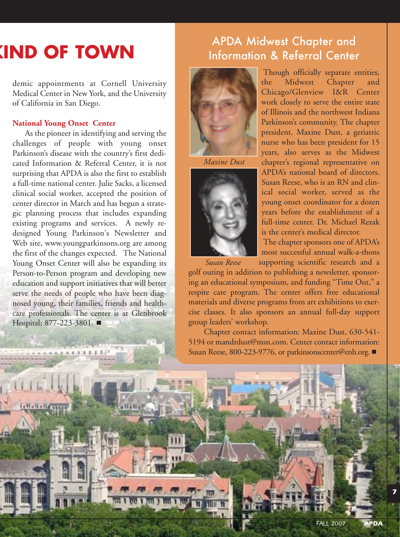## **KIND OF TOWN**

demic appointments at Cornell University Medical Center in New York, and the University of California in San Diego.

#### **National Young Onset Center**

As the pioneer in identifying and serving the challenges of people with young onset Parkinson's disease with the country's first dedicated Information & Referral Center, it is not surprising that APDA is also the first to establish a full-time national center. Julie Sacks, a licensed clinical social worker, accepted the position of center director in March and has begun a strategic planning process that includes expanding existing programs and services. A newly redesigned Young Parkinson's Newsletter and Web site, www.youngparkinsons.org are among the first of the changes expected. The National Young Onset Center will also be expanding its Person-to-Person program and developing new education and support initiatives that will better serve the needs of people who have been diagnosed young, their families, friends and healthcare professionals. The center is at Glenbrook Hospital; 877-223-3801. ■

 $1.1.1.1.1.1.1.1.1$ 

## APDA Midwest Chapter and Information & Referral Center



*Maxine Dust*



Though officially separate entities, the Midwest Chapter and Chicago/Glenview I&R Center work closely to serve the entire state of Illinois and the northwest Indiana Parkinson's community. The chapter president, Maxine Dust, a geriatric nurse who has been president for 15 years, also serves as the Midwest chapter's regional representative on APDA's national board of directors. Susan Reese, who is an RN and clinical social worker, served as the young onset coordinator for a dozen years before the establishment of a full-time center. Dr. Michael Rezak is the center's medical director.

The chapter sponsors one of APDA's most successful annual walk-a-thons

supporting scientific research and a golf outing in addition to publishing a newsletter, sponsoring an educational symposium, and funding "Time Out," a respite care program. The center offers free educational materials and diverse programs from art exhibitions to exercise classes. It also sponsors an annual full-day support group leaders' workshop. *Susan Reese*

Chapter contact information: Maxine Dust, 630-541- 5194 or mandrdust@msn.com. Center contact information: Susan Reese, 800-223-9776, or parkinsonscenter@enh.org. ■

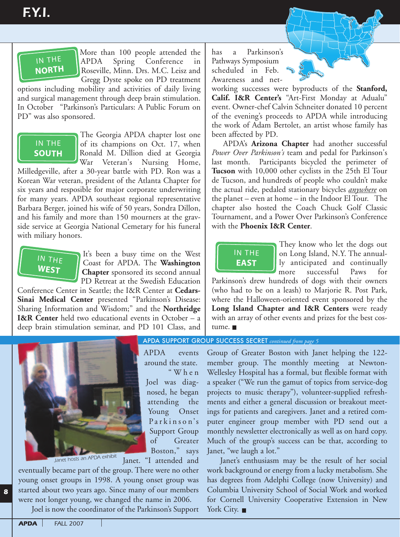## IN THE IT.<br>IN THE<br>NORTH IN THE<br> **NORTH**

More than 100 people attended the APDA Spring Conference in Roseville, Minn. Drs. M.C. Leisz and Gregg Dyste spoke on PD treatment

options including mobility and activities of daily living and surgical management through deep brain stimulation. In October "Parkinson's Particulars: A Public Forum on PD" was also sponsored.

## **IN THE SOUTH**

The Georgia APDA chapter lost one of its champions on Oct. 17, when Ronald M. Dillion died at Georgia War Veteran's Nursing Home,

Milledgeville, after a 30-year battle with PD. Ron was a Korean War veteran, president of the Atlanta Chapter for six years and resposible for major corporate underwriting for many years. APDA southeast regional representative Barbara Berger, joined his wife of 50 years, Sondra Dillon, and his family and more than 150 mourners at the gravside service at Georgia National Cemetary for his funeral with miliary honors.



It's been a busy time on the West Coast for APDA. The **Washington Chapter** sponsored its second annual PD Retreat at the Swedish Education

Conference Center in Seattle; the I&R Center at **Cedars-Sinai Medical Center** presented "Parkinson's Disease: Sharing Information and Wisdom;" and the **Northridge I&R Center** held two educational events in October – a deep brain stimulation seminar, and PD 101 Class, and Frence C<br>
Medica<br>
Information<br>
Strain still<br>
Strain still **Nedical**<br>**Nedical**<br>**ng Inform<br>Center** h<br>brain stin



APDA events around the state. "When Joel was diagnosed, he began attending the Young Onset Parkinson's Support Group of Greater Boston," says

Janet. "I attended and

eventually became part of the group. There were no other young onset groups in 1998. A young onset group was started about two years ago. Since many of our members were not longer young, we changed the name in 2006.

Joel is now the coordinator of the Parkinson's Support

has a Parkinson's Pathways Symposium scheduled in Feb. Awareness and net-

working successes were byproducts of the **Stanford, Calif. I&R Center's** "Art-First Monday at Adualu" event. Owner-chef Calvin Schneiter donated 10 percent of the evening's proceeds to APDA while introducing the work of Adam Bertolet, an artist whose family has been affected by PD.

APDA's **Arizona Chapter** had another successful *Power Over Parkinson's* team and pedal for Parkinson's last month. Participants bicycled the perimeter of **Tucson** with 10,000 other cyclists in the 25th El Tour de Tucson, and hundreds of people who couldn't make the actual ride, pedaled stationary bicycles *anywhere* on APDA's **Arizona Chapter** had another successful<br> *Power Over Parkinson's* team and pedal for Parkinson's<br>
last month. Participants bicycled the perimeter of<br> **Tucson** with 10,000 other cyclists in the 25th El Tour<br>
de Tucs chapter also hosted the Coach Chuck Golf Classic Tournament, and a Power Over Parkinson's Conference with the **Phoenix I&R Center**. Over Par<br>
onth. I<br> **1** with 10<br>
son, and<br>
ual ride,<br>
net – eve<br>
r also he



They know who let the dogs out on Long Island, N.Y. The annually anticipated and continually more successful Paws for

Parkinson's drew hundreds of dogs with their owners (who had to be on a leash) to Marjorie R. Post Park, where the Halloween-oriented event sponsored by the **Long Island Chapter and I&R Centers** were ready Evily island Unapter and Tech Centers were ready tume. an anay or o<br>. ■

APDA SUPPORT GROUP SUCCESS SECRET *continued from page 5*

a speaker ("We run the gamut of topics from service-dog projects to music therapy"), volunteer-supplied refresh-Group of Greater Boston with Janet helping the 122 member group. The monthly meeting at Newton-Wellesley Hospital has a formal, but flexible format with ments and either a general discussion or breakout meetings for patients and caregivers. Janet and a retired computer engineer group member with PD send out a monthly newsletter electronically as well as on hard copy. Much of the group's success can be that, according to Janet, "we laugh a lot."

Janet's enthusiasm may be the result of her social work background or energy from a lucky metabolism. She has degrees from Adelphi College (now University) and Columbia University School of Social Work and worked for Cornell University Cooperative Extension in New York City. ■

*8*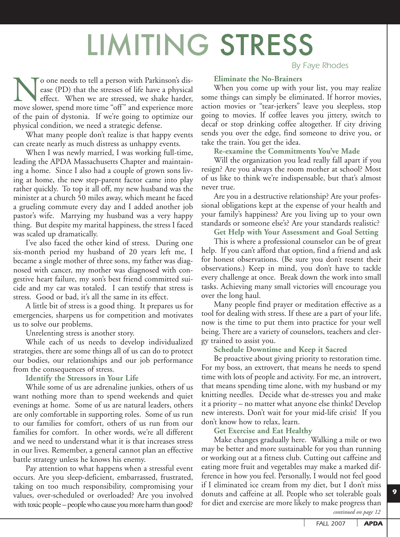# LIMITING STRESS

**No one needs to tell a person with Parkinson's dis-**<br>ease (PD) that the stresses of life have a physical<br>effect. When we are stressed, we shake harder,<br>move slower, spend more time "off" and experience more ease (PD) that the stresses of life have a physical effect. When we are stressed, we shake harder, of the pain of dystonia. If we're going to optimize our physical condition, we need a strategic defense.

What many people don't realize is that happy events can create nearly as much distress as unhappy events.

When I was newly married, I was working full-time, leading the APDA Massachusetts Chapter and maintaining a home. Since I also had a couple of grown sons living at home, the new step-parent factor came into play rather quickly. To top it all off, my new husband was the minister at a church 50 miles away, which meant he faced a grueling commute every day and I added another job pastor's wife. Marrying my husband was a very happy thing. But despite my marital happiness, the stress I faced was scaled up dramatically.

I've also faced the other kind of stress. During one six-month period my husband of 20 years left me, I became a single mother of three sons, my father was diagnosed with cancer, my mother was diagnosed with congestive heart failure, my son's best friend committed suicide and my car was totaled. I can testify that stress is stress. Good or bad, it's all the same in its effect.

A little bit of stress is a good thing. It prepares us for emergencies, sharpens us for competition and motivates us to solve our problems.

Unrelenting stress is another story.

While each of us needs to develop individualized strategies, there are some things all of us can do to protect our bodies, our relationships and our job performance from the consequences of stress.

**Identify the Stressors in Your Life**

While some of us are adrenaline junkies, others of us want nothing more than to spend weekends and quiet evenings at home. Some of us are natural leaders, others are only comfortable in supporting roles. Some of us run to our families for comfort, others of us run from our families for comfort. In other words, we're all different and we need to understand what it is that increases stress in our lives. Remember, a general cannot plan an effective battle strategy unless he knows his enemy.

Pay attention to what happens when a stressful event occurs. Are you sleep-deficient, embarrassed, frustrated, taking on too much responsibility, compromising your values, over-scheduled or overloaded? Are you involved with toxic people – people who cause you more harm than good?

*By Faye Rhodes*

**Eliminate the No-Brainers**

When you come up with your list, you may realize some things can simply be eliminated. If horror movies, action movies or "tear-jerkers" leave you sleepless, stop going to movies. If coffee leaves you jittery, switch to decaf or stop drinking coffee altogether. If city driving sends you over the edge, find someone to drive you, or take the train. You get the idea.

#### **Re-examine the Commitments You've Made**

Will the organization you lead really fall apart if you resign? Are you always the room mother at school? Most of us like to think we're indispensable, but that's almost never true.

Are you in a destructive relationship? Are your professional obligations kept at the expense of your health and your family's happiness? Are you living up to your own standards or someone else's? Are your standards realistic?

#### **Get Help with Your Assessment and Goal Setting**

This is where a professional counselor can be of great help. If you can't afford that option, find a friend and ask for honest observations. (Be sure you don't resent their observations.) Keep in mind, you don't have to tackle every challenge at once. Break down the work into small tasks. Achieving many small victories will encourage you over the long haul.

Many people find prayer or meditation effective as a tool for dealing with stress. If these are a part of your life, now is the time to put them into practice for your well being. There are a variety of counselors, teachers and clergy trained to assist you.

#### **Schedule Downtime and Keep it Sacred**

Be proactive about giving priority to restoration time. For my boss, an extrovert, that means he needs to spend time with lots of people and activity. For me, an introvert, that means spending time alone, with my husband or my knitting needles. Decide what de-stresses you and make it a priority – no matter what anyone else thinks! Develop new interests. Don't wait for your mid-life crisis! If you don't know how to relax, learn.

#### **Get Exercise and Eat Healthy**

Make changes gradually here. Walking a mile or two may be better and more sustainable for you than running or working out at a fitness club. Cutting out caffeine and eating more fruit and vegetables may make a marked difference in how you feel. Personally, I would not feel good if I eliminated ice cream from my diet, but I don't miss donuts and caffeine at all. People who set tolerable goals for diet and exercise are more likely to make progress than

*continued on page 12*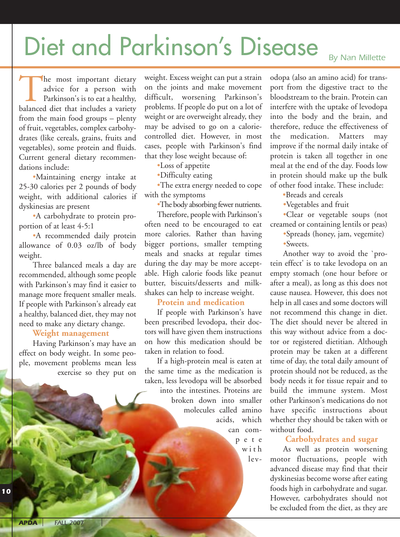# Diet and Parkinson's Disease **By Nan Millette**

The most important dietary<br>
advice for a person with<br>
Parkinson's is to eat a healthy,<br>
balanced diet that includes a variety advice for a person with Parkinson's is to eat a healthy, from the main food groups – plenty of fruit, vegetables, complex carbohydrates (like cereals, grains, fruits and vegetables), some protein and fluids. Current general dietary recommendations include:

•Maintaining energy intake at 25-30 calories per 2 pounds of body weight, with additional calories if dyskinesias are present

•A carbohydrate to protein proportion of at least 4-5:1

•A recommended daily protein allowance of 0.03 oz/lb of body weight.

Three balanced meals a day are recommended, although some people with Parkinson's may find it easier to manage more frequent smaller meals. If people with Parkinson's already eat a healthy, balanced diet, they may not need to make any dietary change.

#### **Weight management**

Having Parkinson's may have an effect on body weight. In some people, movement problems mean less exercise so they put on

weight. Excess weight can put a strain on the joints and make movement difficult, worsening Parkinson's problems. If people do put on a lot of weight or are overweight already, they may be advised to go on a caloriecontrolled diet. However, in most cases, people with Parkinson's find that they lose weight because of:

•Loss of appetite

•Difficulty eating

•The extra energy needed to cope with the symptoms

•The body absorbing fewer nutrients.

Therefore, people with Parkinson's often need to be encouraged to eat more calories. Rather than having bigger portions, smaller tempting meals and snacks at regular times during the day may be more acceptable. High calorie foods like peanut butter, biscuits/desserts and milkshakes can help to increase weight.

#### **Protein and medication**

If people with Parkinson's have been prescribed levodopa, their doctors will have given them instructions on how this medication should be taken in relation to food.

If a high-protein meal is eaten at the same time as the medication is taken, less levodopa will be absorbed into the intestines. Proteins are broken down into smaller molecules called amino acids, which can com-

> pete with lev-

odopa (also an amino acid) for transport from the digestive tract to the bloodstream to the brain. Protein can interfere with the uptake of levodopa into the body and the brain, and therefore, reduce the effectiveness of the medication. Matters may improve if the normal daily intake of protein is taken all together in one meal at the end of the day. Foods low in protein should make up the bulk of other food intake. These include:

•Breads and cereals

•Vegetables and fruit

•Clear or vegetable soups (not creamed or containing lentils or peas)

•Spreads (honey, jam, vegemite) •Sweets.

Another way to avoid the `protein effect' is to take levodopa on an empty stomach (one hour before or after a meal), as long as this does not cause nausea. However, this does not help in all cases and some doctors will not recommend this change in diet. The diet should never be altered in this way without advice from a doctor or registered dietitian. Although protein may be taken at a different time of day, the total daily amount of protein should not be reduced, as the body needs it for tissue repair and to build the immune system. Most other Parkinson's medications do not have specific instructions about whether they should be taken with or without food.

#### **Carbohydrates and sugar**

As well as protein worsening motor fluctuations, people with advanced disease may find that their dyskinesias become worse after eating foods high in carbohydrate and sugar. However, carbohydrates should not be excluded from the diet, as they are

*10*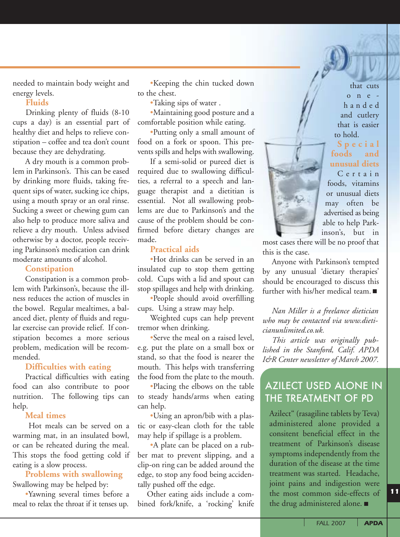needed to maintain body weight and energy levels.

#### **Fluids**

Drinking plenty of fluids (8-10 cups a day) is an essential part of healthy diet and helps to relieve constipation – coffee and tea don't count because they are dehydrating.

A dry mouth is a common problem in Parkinson's. This can be eased by drinking more fluids, taking frequent sips of water, sucking ice chips, using a mouth spray or an oral rinse. Sucking a sweet or chewing gum can also help to produce more saliva and relieve a dry mouth. Unless advised otherwise by a doctor, people receiving Parkinson's medication can drink moderate amounts of alcohol.

#### **Constipation**

Constipation is a common problem with Parkinson's, because the illness reduces the action of muscles in the bowel. Regular mealtimes, a balanced diet, plenty of fluids and regular exercise can provide relief. If constipation becomes a more serious problem, medication will be recommended.

#### **Difficulties with eating**

Practical difficulties with eating food can also contribute to poor nutrition. The following tips can help.

#### **Meal times**

Hot meals can be served on a warming mat, in an insulated bowl, or can be reheated during the meal. This stops the food getting cold if eating is a slow process.

#### **Problems with swallowing**  Swallowing may be helped by:

•Yawning several times before a meal to relax the throat if it tenses up.

•Keeping the chin tucked down to the chest.

•Taking sips of water .

•Maintaining good posture and a comfortable position while eating.

•Putting only a small amount of food on a fork or spoon. This prevents spills and helps with swallowing.

If a semi-solid or pureed diet is required due to swallowing difficulties, a referral to a speech and language therapist and a dietitian is essential. Not all swallowing problems are due to Parkinson's and the cause of the problem should be confirmed before dietary changes are made.

#### **Practical aids**

•Hot drinks can be served in an insulated cup to stop them getting cold. Cups with a lid and spout can stop spillages and help with drinking.

•People should avoid overfilling cups. Using a straw may help.

Weighted cups can help prevent tremor when drinking.

•Serve the meal on a raised level, e.g. put the plate on a small box or stand, so that the food is nearer the mouth. This helps with transferring the food from the plate to the mouth.

•Placing the elbows on the table to steady hands/arms when eating can help.

•Using an apron/bib with a plastic or easy-clean cloth for the table may help if spillage is a problem.

•A plate can be placed on a rubber mat to prevent slipping, and a clip-on ring can be added around the edge, to stop any food being accidentally pushed off the edge.

Other eating aids include a combined fork/knife, a 'rocking' knife



**Special foods and unusual diets**

Certain foods, vitamins or unusual diets may often be advertised as being able to help Parkinson's, but in

most cases there will be no proof that this is the case.

Anyone with Parkinson's tempted by any unusual 'dietary therapies' should be encouraged to discuss this further with his/her medical team.

*Nan Miller is a freelance dietician who may be contacted via www.dieticianunlimited.co.uk.* 

*This article was originally published in the Stanford, Calif. APDA I&R Center newsletter of March 2007.* 

## AZILECT USED ALONE IN THE TREATMENT OF PD

Azilect" (rasagiline tablets by Teva) administered alone provided a consitent beneficial effect in the treatment of Parkinson's disease symptoms independently from the duration of the disease at the time treatment was started. Headache, joint pains and indigestion were the most common side-effects of the drug administered alone.

*11*

*FALL 2007 APDA*